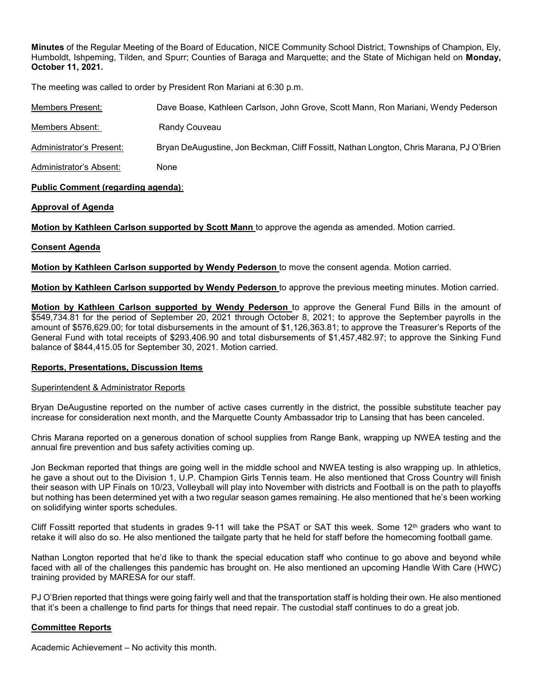Minutes of the Regular Meeting of the Board of Education, NICE Community School District, Townships of Champion, Ely, Humboldt, Ishpeming, Tilden, and Spurr; Counties of Baraga and Marquette; and the State of Michigan held on Monday, October 11, 2021.

The meeting was called to order by President Ron Mariani at 6:30 p.m.

| Members Present:         | Dave Boase, Kathleen Carlson, John Grove, Scott Mann, Ron Mariani, Wendy Pederson       |
|--------------------------|-----------------------------------------------------------------------------------------|
| Members Absent:          | Randy Couveau                                                                           |
| Administrator's Present: | Bryan DeAugustine, Jon Beckman, Cliff Fossitt, Nathan Longton, Chris Marana, PJ O'Brien |
| Administrator's Absent:  | None                                                                                    |

# Public Comment (regarding agenda):

# Approval of Agenda

Motion by Kathleen Carlson supported by Scott Mann to approve the agenda as amended. Motion carried.

# Consent Agenda

Motion by Kathleen Carlson supported by Wendy Pederson to move the consent agenda. Motion carried.

Motion by Kathleen Carlson supported by Wendy Pederson to approve the previous meeting minutes. Motion carried.

**Motion by Kathleen Carlson supported by Wendy Pederson** to approve the General Fund Bills in the amount of \$549,734.81 for the period of September 20, 2021 through October 8, 2021; to approve the September payrolls in the amount of \$576,629.00; for total disbursements in the amount of \$1,126,363.81; to approve the Treasurer's Reports of the General Fund with total receipts of \$293,406.90 and total disbursements of \$1,457,482.97; to approve the Sinking Fund balance of \$844,415.05 for September 30, 2021. Motion carried.

### Reports, Presentations, Discussion Items

### Superintendent & Administrator Reports

Bryan DeAugustine reported on the number of active cases currently in the district, the possible substitute teacher pay increase for consideration next month, and the Marquette County Ambassador trip to Lansing that has been canceled.

Chris Marana reported on a generous donation of school supplies from Range Bank, wrapping up NWEA testing and the annual fire prevention and bus safety activities coming up.

Jon Beckman reported that things are going well in the middle school and NWEA testing is also wrapping up. In athletics, he gave a shout out to the Division 1, U.P. Champion Girls Tennis team. He also mentioned that Cross Country will finish their season with UP Finals on 10/23, Volleyball will play into November with districts and Football is on the path to playoffs but nothing has been determined yet with a two regular season games remaining. He also mentioned that he's been working on solidifying winter sports schedules.

Cliff Fossitt reported that students in grades 9-11 will take the PSAT or SAT this week. Some 12<sup>th</sup> graders who want to retake it will also do so. He also mentioned the tailgate party that he held for staff before the homecoming football game.

Nathan Longton reported that he'd like to thank the special education staff who continue to go above and beyond while faced with all of the challenges this pandemic has brought on. He also mentioned an upcoming Handle With Care (HWC) training provided by MARESA for our staff.

PJ O'Brien reported that things were going fairly well and that the transportation staff is holding their own. He also mentioned that it's been a challenge to find parts for things that need repair. The custodial staff continues to do a great job.

# Committee Reports

Academic Achievement – No activity this month.